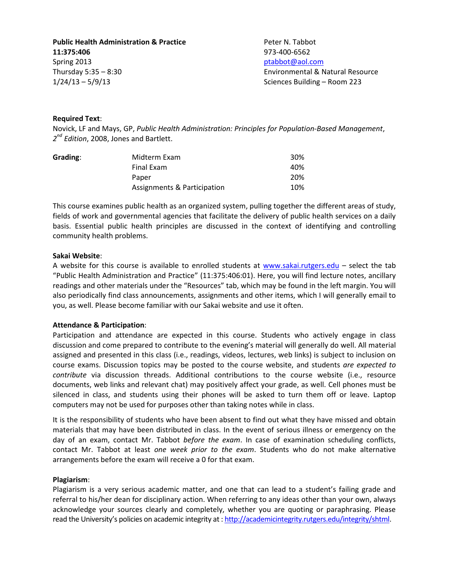**Public Health Administration & Practice Face Results Administration & Practice** Peter N. Tabbot **11:375:406** 973-400-6562 Spring 2013 **[ptabbot@aol.com](mailto:ptabbot@aol.com)** Thursday 5:35 – 8:30 Environmental & Natural Resource 1/24/13 – 5/9/13 Sciences Building – Room 223

## **Required Text**:

Novick, LF and Mays, GP, *Public Health Administration: Principles for Population-Based Management*, *2 nd Edition*, 2008, Jones and Bartlett.

| Grading: | Midterm Exam                | 30% |
|----------|-----------------------------|-----|
|          | Final Exam                  | 40% |
|          | Paper                       | 20% |
|          | Assignments & Participation | 10% |

This course examines public health as an organized system, pulling together the different areas of study, fields of work and governmental agencies that facilitate the delivery of public health services on a daily basis. Essential public health principles are discussed in the context of identifying and controlling community health problems.

## **Sakai Website**:

A website for this course is available to enrolled students at [www.sakai.rutgers.edu](http://www.sakai.rutgers.edu/) – select the tab "Public Health Administration and Practice" (11:375:406:01). Here, you will find lecture notes, ancillary readings and other materials under the "Resources" tab, which may be found in the left margin. You will also periodically find class announcements, assignments and other items, which I will generally email to you, as well. Please become familiar with our Sakai website and use it often.

# **Attendance & Participation**:

Participation and attendance are expected in this course. Students who actively engage in class discussion and come prepared to contribute to the evening's material will generally do well. All material assigned and presented in this class (i.e., readings, videos, lectures, web links) is subject to inclusion on course exams. Discussion topics may be posted to the course website, and students *are expected to contribute* via discussion threads. Additional contributions to the course website (i.e., resource documents, web links and relevant chat) may positively affect your grade, as well. Cell phones must be silenced in class, and students using their phones will be asked to turn them off or leave. Laptop computers may not be used for purposes other than taking notes while in class.

It is the responsibility of students who have been absent to find out what they have missed and obtain materials that may have been distributed in class. In the event of serious illness or emergency on the day of an exam, contact Mr. Tabbot *before the exam*. In case of examination scheduling conflicts, contact Mr. Tabbot at least *one week prior to the exam*. Students who do not make alternative arrangements before the exam will receive a 0 for that exam.

#### **Plagiarism**:

Plagiarism is a very serious academic matter, and one that can lead to a student's failing grade and referral to his/her dean for disciplinary action. When referring to any ideas other than your own, always acknowledge your sources clearly and completely, whether you are quoting or paraphrasing. Please read the University's policies on academic integrity at [: http://academicintegrity.rutgers.edu/integrity/shtml.](http://academicintegrity.rutgers.edu/integrity/shtml)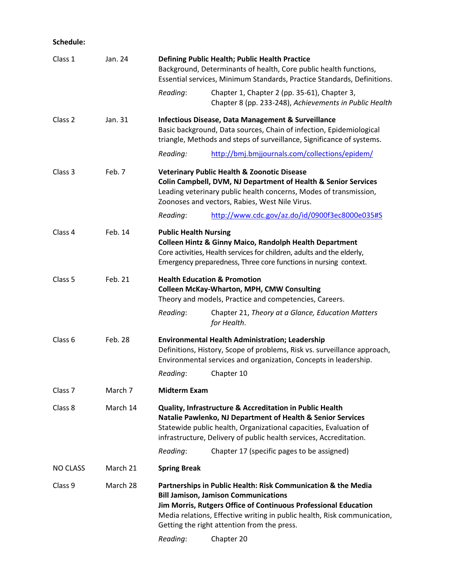# **Schedule:**

| Class 1            | Jan. 24                                                                                                                                                                                                                                                                        | Defining Public Health; Public Health Practice<br>Background, Determinants of health, Core public health functions,<br>Essential services, Minimum Standards, Practice Standards, Definitions.                                                                                                             |                                                                                                        |  |
|--------------------|--------------------------------------------------------------------------------------------------------------------------------------------------------------------------------------------------------------------------------------------------------------------------------|------------------------------------------------------------------------------------------------------------------------------------------------------------------------------------------------------------------------------------------------------------------------------------------------------------|--------------------------------------------------------------------------------------------------------|--|
|                    |                                                                                                                                                                                                                                                                                | Reading:                                                                                                                                                                                                                                                                                                   | Chapter 1, Chapter 2 (pp. 35-61), Chapter 3,<br>Chapter 8 (pp. 233-248), Achievements in Public Health |  |
| Class 2            | Jan. 31                                                                                                                                                                                                                                                                        | <b>Infectious Disease, Data Management &amp; Surveillance</b><br>Basic background, Data sources, Chain of infection, Epidemiological<br>triangle, Methods and steps of surveillance, Significance of systems.                                                                                              |                                                                                                        |  |
|                    |                                                                                                                                                                                                                                                                                | Reading:                                                                                                                                                                                                                                                                                                   | http://bmj.bmjjournals.com/collections/epidem/                                                         |  |
| Class 3            | Feb. 7                                                                                                                                                                                                                                                                         | <b>Veterinary Public Health &amp; Zoonotic Disease</b><br>Colin Campbell, DVM, NJ Department of Health & Senior Services<br>Leading veterinary public health concerns, Modes of transmission,<br>Zoonoses and vectors, Rabies, West Nile Virus.                                                            |                                                                                                        |  |
|                    |                                                                                                                                                                                                                                                                                | Reading:                                                                                                                                                                                                                                                                                                   | http://www.cdc.gov/az.do/id/0900f3ec8000e035#S                                                         |  |
| Class 4            | Feb. 14                                                                                                                                                                                                                                                                        | <b>Public Health Nursing</b><br>Colleen Hintz & Ginny Maico, Randolph Health Department<br>Core activities, Health services for children, adults and the elderly,<br>Emergency preparedness, Three core functions in nursing context.                                                                      |                                                                                                        |  |
| Class 5            | Feb. 21                                                                                                                                                                                                                                                                        | <b>Health Education &amp; Promotion</b><br><b>Colleen McKay-Wharton, MPH, CMW Consulting</b><br>Theory and models, Practice and competencies, Careers.                                                                                                                                                     |                                                                                                        |  |
|                    |                                                                                                                                                                                                                                                                                | Reading:                                                                                                                                                                                                                                                                                                   | Chapter 21, Theory at a Glance, Education Matters<br>for Health.                                       |  |
| Class 6<br>Feb. 28 |                                                                                                                                                                                                                                                                                | <b>Environmental Health Administration; Leadership</b><br>Definitions, History, Scope of problems, Risk vs. surveillance approach,<br>Environmental services and organization, Concepts in leadership.                                                                                                     |                                                                                                        |  |
|                    |                                                                                                                                                                                                                                                                                | Reading:                                                                                                                                                                                                                                                                                                   | Chapter 10                                                                                             |  |
| Class <sub>7</sub> | March 7                                                                                                                                                                                                                                                                        | <b>Midterm Exam</b>                                                                                                                                                                                                                                                                                        |                                                                                                        |  |
| Class 8            | March 14<br>Quality, Infrastructure & Accreditation in Public Health<br>Natalie Pawlenko, NJ Department of Health & Senior Services<br>Statewide public health, Organizational capacities, Evaluation of<br>infrastructure, Delivery of public health services, Accreditation. |                                                                                                                                                                                                                                                                                                            |                                                                                                        |  |
|                    |                                                                                                                                                                                                                                                                                | Reading:                                                                                                                                                                                                                                                                                                   | Chapter 17 (specific pages to be assigned)                                                             |  |
| <b>NO CLASS</b>    | March 21                                                                                                                                                                                                                                                                       | <b>Spring Break</b>                                                                                                                                                                                                                                                                                        |                                                                                                        |  |
| Class 9            | March 28                                                                                                                                                                                                                                                                       | Partnerships in Public Health: Risk Communication & the Media<br><b>Bill Jamison, Jamison Communications</b><br>Jim Morris, Rutgers Office of Continuous Professional Education<br>Media relations, Effective writing in public health, Risk communication,<br>Getting the right attention from the press. |                                                                                                        |  |
|                    |                                                                                                                                                                                                                                                                                | Reading:                                                                                                                                                                                                                                                                                                   | Chapter 20                                                                                             |  |